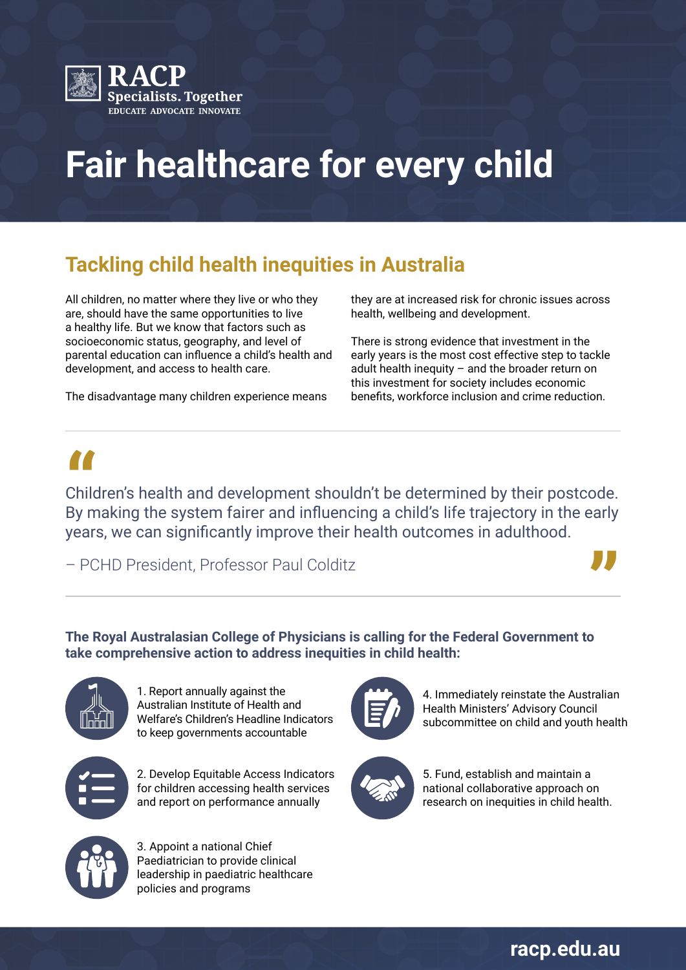

# **Fair healthcare for every child**

## **Tackling child health inequities in Australia**

All children, no matter where they live or who they are, should have the same opportunities to live a healthy life. But we know that factors such as socioeconomic status, geography, and level of parental education can influence a child's health and development, and access to health care.

The disadvantage many children experience means

they are at increased risk for chronic issues across health, wellbeing and development.

There is strong evidence that investment in the early years is the most cost effective step to tackle adult health inequity – and the broader return on this investment for society includes economic benefits, workforce inclusion and crime reduction.

**"**<br>Child<br>By m Children's health and development shouldn't be determined by their postcode. By making the system fairer and influencing a child's life trajectory in the early years, we can significantly improve their health outcomes in adulthood.

– PCHD President, Professor Paul Colditz



### **The Royal Australasian College of Physicians is calling for the Federal Government to take comprehensive action to address inequities in child health:**



1. Report annually against the Australian Institute of Health and Welfare's Children's Headline Indicators to keep governments accountable



2. Develop Equitable Access Indicators for children accessing health services and report on performance annually



4. Immediately reinstate the Australian Health Ministers' Advisory Council subcommittee on child and youth health



5. Fund, establish and maintain a national collaborative approach on research on inequities in child health.



3. Appoint a national Chief Paediatrician to provide clinical leadership in paediatric healthcare policies and programs